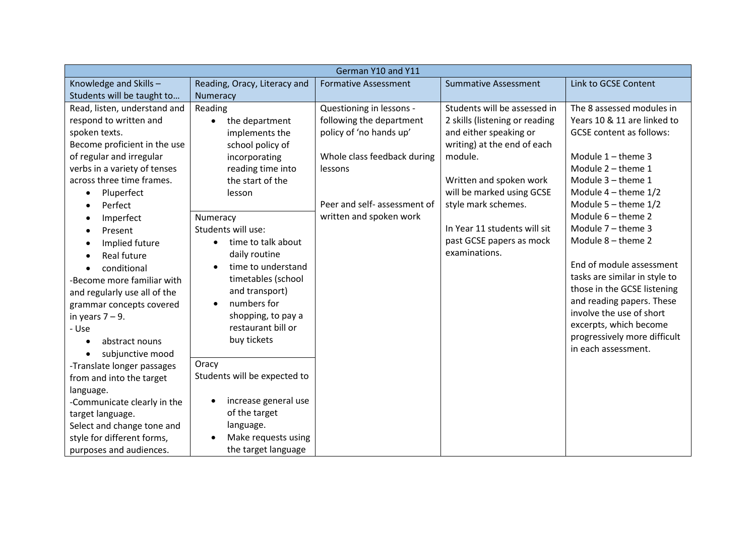| German Y10 and Y11           |                                   |                              |                                |                                 |
|------------------------------|-----------------------------------|------------------------------|--------------------------------|---------------------------------|
| Knowledge and Skills-        | Reading, Oracy, Literacy and      | <b>Formative Assessment</b>  | <b>Summative Assessment</b>    | Link to GCSE Content            |
| Students will be taught to   | Numeracy                          |                              |                                |                                 |
| Read, listen, understand and | Reading                           | Questioning in lessons -     | Students will be assessed in   | The 8 assessed modules in       |
| respond to written and       | the department<br>$\bullet$       | following the department     | 2 skills (listening or reading | Years 10 & 11 are linked to     |
| spoken texts.                | implements the                    | policy of 'no hands up'      | and either speaking or         | <b>GCSE</b> content as follows: |
| Become proficient in the use | school policy of                  |                              | writing) at the end of each    |                                 |
| of regular and irregular     | incorporating                     | Whole class feedback during  | module.                        | Module $1$ – theme 3            |
| verbs in a variety of tenses | reading time into                 | lessons                      |                                | Module 2 - theme 1              |
| across three time frames.    | the start of the                  |                              | Written and spoken work        | Module 3 - theme 1              |
| Pluperfect<br>$\bullet$      | lesson                            |                              | will be marked using GCSE      | Module $4$ – theme $1/2$        |
| Perfect<br>$\epsilon$        |                                   | Peer and self- assessment of | style mark schemes.            | Module $5 -$ theme $1/2$        |
| Imperfect<br>$\bullet$       | Numeracy                          | written and spoken work      |                                | Module $6$ – theme 2            |
| Present<br>$\bullet$         | Students will use:                |                              | In Year 11 students will sit   | Module $7$ – theme 3            |
| Implied future<br>$\bullet$  | time to talk about                |                              | past GCSE papers as mock       | Module 8 - theme 2              |
| Real future<br>$\bullet$     | daily routine                     |                              | examinations.                  |                                 |
| conditional<br>$\bullet$     | time to understand<br>$\bullet$   |                              |                                | End of module assessment        |
| -Become more familiar with   | timetables (school                |                              |                                | tasks are similar in style to   |
| and regularly use all of the | and transport)                    |                              |                                | those in the GCSE listening     |
| grammar concepts covered     | numbers for<br>$\bullet$          |                              |                                | and reading papers. These       |
| in years $7 - 9$ .           | shopping, to pay a                |                              |                                | involve the use of short        |
| - Use                        | restaurant bill or                |                              |                                | excerpts, which become          |
| abstract nouns<br>$\bullet$  | buy tickets                       |                              |                                | progressively more difficult    |
| subjunctive mood             |                                   |                              |                                | in each assessment.             |
| -Translate longer passages   | Oracy                             |                              |                                |                                 |
| from and into the target     | Students will be expected to      |                              |                                |                                 |
| language.                    |                                   |                              |                                |                                 |
| -Communicate clearly in the  | increase general use<br>$\bullet$ |                              |                                |                                 |
| target language.             | of the target                     |                              |                                |                                 |
| Select and change tone and   | language.                         |                              |                                |                                 |
| style for different forms,   | Make requests using<br>$\bullet$  |                              |                                |                                 |
| purposes and audiences.      | the target language               |                              |                                |                                 |